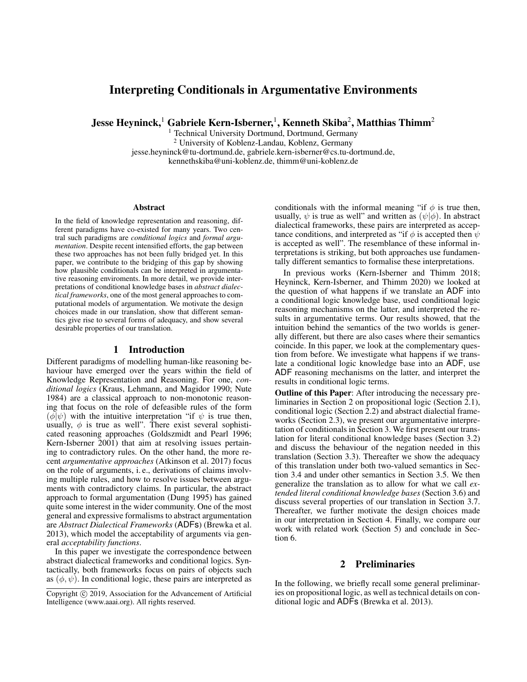# Interpreting Conditionals in Argumentative Environments

Jesse Heyninck, $^1$  Gabriele Kern-Isberner, $^1$ , Kenneth Skiba $^2$ , Matthias Thimm $^2$ 

<sup>1</sup> Technical University Dortmund, Dortmund, Germany <sup>2</sup> University of Koblenz-Landau, Koblenz, Germany jesse.heyninck@tu-dortmund.de, gabriele.kern-isberner@cs.tu-dortmund.de, kennethskiba@uni-koblenz.de, thimm@uni-koblenz.de

#### **Abstract**

In the field of knowledge representation and reasoning, different paradigms have co-existed for many years. Two central such paradigms are *conditional logics* and *formal argumentation*. Despite recent intensified efforts, the gap between these two approaches has not been fully bridged yet. In this paper, we contribute to the bridging of this gap by showing how plausible conditionals can be interpreted in argumentative reasoning enviroments. In more detail, we provide interpretations of conditional knowledge bases in *abstract dialectical frameworks*, one of the most general approaches to computational models of argumentation. We motivate the design choices made in our translation, show that different semantics give rise to several forms of adequacy, and show several desirable properties of our translation.

## 1 Introduction

Different paradigms of modelling human-like reasoning behaviour have emerged over the years within the field of Knowledge Representation and Reasoning. For one, *conditional logics* (Kraus, Lehmann, and Magidor 1990; Nute 1984) are a classical approach to non-monotonic reasoning that focus on the role of defeasible rules of the form  $\phi(\phi|\psi)$  with the intuitive interpretation "if  $\psi$  is true then, usually,  $\phi$  is true as well". There exist several sophisticated reasoning approaches (Goldszmidt and Pearl 1996; Kern-Isberner 2001) that aim at resolving issues pertaining to contradictory rules. On the other hand, the more recent *argumentative approaches* (Atkinson et al. 2017) focus on the role of arguments, i. e., derivations of claims involving multiple rules, and how to resolve issues between arguments with contradictory claims. In particular, the abstract approach to formal argumentation (Dung 1995) has gained quite some interest in the wider community. One of the most general and expressive formalisms to abstract argumentation are *Abstract Dialectical Frameworks* (ADFs) (Brewka et al. 2013), which model the acceptability of arguments via general *acceptability functions*.

In this paper we investigate the correspondence between abstract dialectical frameworks and conditional logics. Syntactically, both frameworks focus on pairs of objects such as  $(\phi, \psi)$ . In conditional logic, these pairs are interpreted as conditionals with the informal meaning "if  $\phi$  is true then, usually,  $\psi$  is true as well" and written as  $(\psi|\phi)$ . In abstract dialectical frameworks, these pairs are interpreted as acceptance conditions, and interpreted as "if  $\phi$  is accepted then  $\psi$ is accepted as well". The resemblance of these informal interpretations is striking, but both approaches use fundamentally different semantics to formalise these interpretations.

In previous works (Kern-Isberner and Thimm 2018; Heyninck, Kern-Isberner, and Thimm 2020) we looked at the question of what happens if we translate an ADF into a conditional logic knowledge base, used conditional logic reasoning mechanisms on the latter, and interpreted the results in argumentative terms. Our results showed, that the intuition behind the semantics of the two worlds is generally different, but there are also cases where their semantics coincide. In this paper, we look at the complementary question from before. We investigate what happens if we translate a conditional logic knowledge base into an ADF, use ADF reasoning mechanisms on the latter, and interpret the results in conditional logic terms.

Outline of this Paper: After introducing the necessary preliminaries in Section 2 on propositional logic (Section 2.1), conditional logic (Section 2.2) and abstract dialectial frameworks (Section 2.3), we present our argumentative interpretation of conditionals in Section 3. We first present our translation for literal conditional knowledge bases (Section 3.2) and discuss the behaviour of the negation needed in this translation (Section 3.3). Thereafter we show the adequacy of this translation under both two-valued semantics in Section 3.4 and under other semantics in Section 3.5. We then generalize the translation as to allow for what we call *extended literal conditional knowledge bases* (Section 3.6) and discuss several properties of our translation in Section 3.7. Thereafter, we further motivate the design choices made in our interpretation in Section 4. Finally, we compare our work with related work (Section 5) and conclude in Section 6.

## 2 Preliminaries

In the following, we briefly recall some general preliminaries on propositional logic, as well as technical details on conditional logic and ADFs (Brewka et al. 2013).

Copyright  $\odot$  2019, Association for the Advancement of Artificial Intelligence (www.aaai.org). All rights reserved.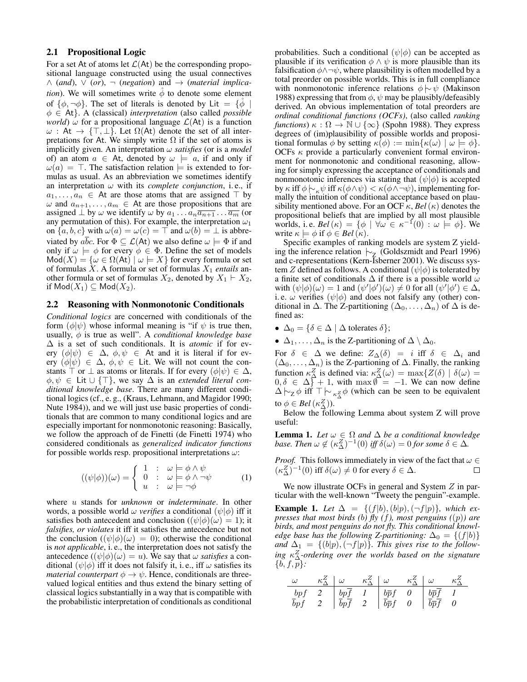#### 2.1 Propositional Logic

For a set At of atoms let  $\mathcal{L}(A_t)$  be the corresponding propositional language constructed using the usual connectives  $\wedge$  (and),  $\vee$  (or),  $\neg$  (*negation*) and  $\rightarrow$  (*material implication*). We will sometimes write  $\phi$  to denote some element of  $\{\phi, \neg \phi\}$ . The set of literals is denoted by Lit =  $\{\phi$ φ ∈ At}. A (classical) *interpretation* (also called *possible world*)  $\omega$  for a propositional language  $\mathcal{L}(At)$  is a function  $\omega$ : At  $\rightarrow$  { $\top$ ,  $\perp$ }. Let  $\Omega$ (At) denote the set of all interpretations for At. We simply write  $\Omega$  if the set of atoms is implicitly given. An interpretation ω *satisfies* (or is a *model* of) an atom  $a \in$  At, denoted by  $\omega \models a$ , if and only if  $\omega(a) = \top$ . The satisfaction relation  $\models$  is extended to formulas as usual. As an abbreviation we sometimes identify an interpretation  $\omega$  with its *complete conjunction*, i.e., if  $a_1, \ldots, a_n \in$  At are those atoms that are assigned  $\top$  by  $\omega$  and  $a_{n+1}, \ldots, a_m \in A$ t are those propositions that are assigned  $\perp$  by  $\omega$  we identify  $\omega$  by  $a_1 \dots a_n \overline{a_{n+1}} \dots \overline{a_m}$  (or any permutation of this). For example, the interpretation  $\omega_1$ on  $\{a, b, c\}$  with  $\omega(a) = \omega(c) = \top$  and  $\omega(b) = \bot$  is abbreviated by  $a\overline{b}c$ . For  $\Phi \subseteq \mathcal{L}(A_t)$  we also define  $\omega \models \Phi$  if and only if  $\omega \models \phi$  for every  $\phi \in \Phi$ . Define the set of models  $\text{Mod}(X) = \{ \omega \in \Omega(\text{At}) \mid \omega \models X \}$  for every formula or set of formulas X. A formula or set of formulas X<sup>1</sup> *entails* another formula or set of formulas  $X_2$ , denoted by  $X_1 \vdash X_2$ , if  $\text{Mod}(X_1) \subseteq \text{Mod}(X_2)$ .

#### 2.2 Reasoning with Nonmonotonic Conditionals

*Conditional logics* are concerned with conditionals of the form  $(\phi|\psi)$  whose informal meaning is "if  $\psi$  is true then, usually, φ is true as well". A *conditional knowledge base* ∆ is a set of such conditionals. It is *atomic* if for every  $(\phi|\psi) \in \Delta$ ,  $\phi, \psi \in$  At and it is literal if for every  $(\phi|\psi) \in \Delta$ ,  $\phi, \psi \in$  Lit. We will not count the constants  $\top$  or  $\bot$  as atoms or literals. If for every  $(\phi|\psi) \in \Delta$ ,  $\phi, \psi \in$  Lit  $\cup \{\top\}$ , we say  $\Delta$  is an *extended literal conditional knowledge base*. There are many different conditional logics (cf., e. g., (Kraus, Lehmann, and Magidor 1990; Nute 1984)), and we will just use basic properties of conditionals that are common to many conditional logics and are especially important for nonmonotonic reasoning: Basically, we follow the approach of de Finetti (de Finetti 1974) who considered conditionals as *generalized indicator functions* for possible worlds resp. propositional interpretations  $\omega$ :

$$
((\psi|\phi))(\omega) = \begin{cases} 1 : & \omega \models \phi \land \psi \\ 0 : & \omega \models \phi \land \neg \psi \\ u : & \omega \models \neg \phi \end{cases} \tag{1}
$$

where u stands for *unknown* or *indeterminate*. In other words, a possible world  $\omega$  *verifies* a conditional  $(\psi | \phi)$  iff it satisfies both antecedent and conclusion ( $(\psi|\phi)(\omega) = 1$ ); it *falsifies, or violates* it iff it satisfies the antecedence but not the conclusion  $((\psi|\phi)(\omega) = 0)$ ; otherwise the conditional is *not applicable*, i. e., the interpretation does not satisfy the antecedence  $((\psi|\phi)(\omega) = u)$ . We say that  $\omega$  *satisfies* a conditional  $(\psi|\phi)$  iff it does not falsify it, i. e., iff  $\omega$  satisfies its *material counterpart*  $\phi \rightarrow \psi$ . Hence, conditionals are threevalued logical entities and thus extend the binary setting of classical logics substantially in a way that is compatible with the probabilistic interpretation of conditionals as conditional

probabilities. Such a conditional  $(\psi|\phi)$  can be accepted as plausible if its verification  $\phi \wedge \psi$  is more plausible than its falsification  $\phi \land \neg \psi$ , where plausibility is often modelled by a total preorder on possible worlds. This is in full compliance with nonmonotonic inference relations  $\phi \sim \psi$  (Makinson 1988) expressing that from  $\phi$ ,  $\psi$  may be plausibly/defeasibly derived. An obvious implementation of total preorders are *ordinal conditional functions (OCFs)*, (also called *ranking functions*)  $\kappa : \Omega \to \mathbb{N} \cup \{\infty\}$  (Spohn 1988). They express degrees of (im)plausibility of possible worlds and propositional formulas  $\phi$  by setting  $\kappa(\phi) := \min{\kappa(\omega) \mid \omega \models \phi}$ . OCFs  $\kappa$  provide a particularly convenient formal environment for nonmonotonic and conditional reasoning, allowing for simply expressing the acceptance of conditionals and nonmonotonic inferences via stating that  $(\psi | \phi)$  is accepted by  $\kappa$  iff  $\phi \sim_{\kappa} \psi$  iff  $\kappa(\phi \land \psi) < \kappa(\phi \land \neg \psi)$ , implementing formally the intuition of conditional acceptance based on plausibility mentioned above. For an OCF  $\kappa$ , *Bel*( $\kappa$ ) denotes the propositional beliefs that are implied by all most plausible worlds, i.e.  $Bel(\kappa) = {\phi \mid \forall \omega \in \kappa^{-1}(0) : \omega \models \phi}$ . We write  $\kappa \models \phi$  if  $\phi \in Bel(\kappa)$ .

Specific examples of ranking models are system Z yielding the inference relation  $\sim$ <sub>Z</sub> (Goldszmidt and Pearl 1996) and c-representations (Kern-Isberner 2001). We discuss system Z defined as follows. A conditional  $(\psi|\phi)$  is tolerated by a finite set of conditionals  $\Delta$  if there is a possible world  $\omega$ with  $(\psi|\phi)(\omega) = 1$  and  $(\psi'|\phi')(\omega) \neq 0$  for all  $(\psi'|\phi') \in \Delta$ , i. e.  $\omega$  verifies  $(\psi|\phi)$  and does not falsify any (other) conditional in  $\Delta$ . The Z-partitioning  $(\Delta_0, \ldots, \Delta_n)$  of  $\Delta$  is defined as:

- $\Delta_0 = \{ \delta \in \Delta \mid \Delta \text{ tolerates } \delta \};$
- $\Delta_1, \ldots, \Delta_n$  is the Z-partitioning of  $\Delta \setminus \Delta_0$ .

For  $\delta \in \Delta$  we define:  $Z_{\Delta}(\delta) = i$  iff  $\delta \in \Delta_i$  and  $(\Delta_0, \ldots, \Delta_n)$  is the Z-partioning of  $\Delta$ . Finally, the ranking function  $\kappa_{\Delta}^{Z}$  is defined via:  $\kappa_{\Delta}^{Z}(\omega) = \max \{ Z(\delta) \mid \delta(\omega) =$  $0, \delta \in \Delta \} + 1$ , with max  $\mathbb{I} = -1$ . We can now define  $\Delta \vdash_{Z} \phi$  iff  $\top \vdash_{\kappa_{\Delta}^{Z}} \phi$  (which can be seen to be equivalent to  $\phi \in Bel\left(\kappa_{\Delta}^{Z}\right)).$ 

Below the following Lemma about system Z will prove useful:

**Lemma 1.** Let  $\omega \in \Omega$  and  $\Delta$  be a conditional knowledge *base. Then*  $\omega \notin (\kappa_{\Delta}^Z)^{-1}(0)$  *iff*  $\delta(\omega) = 0$  *for some*  $\delta \in \Delta$ *.* 

*Proof.* This follows immediately in view of the fact that  $\omega \in$  $(\kappa_{\Delta}^{Z})^{-1}(0)$  iff  $\delta(\omega) \neq 0$  for every  $\delta \in \Delta$ .  $\Box$ 

We now illustrate OCFs in general and System  $Z$  in particular with the well-known "Tweety the penguin"-example. **Example 1.** Let  $\Delta = \{(f|b), (b|p), (\neg f|p)\}$ *, which expresses that most birds (*b*) fly (*f*), most penguins (*(p)*) are birds, and most penguins do not fly. This conditional knowledge base has the following Z-partitioning:*  $\Delta_0 = \{(f|b)\}$ and  $\Delta_1 = \{ (b|p), (\neg f|p) \}$ . This gives rise to the follow*ing* κ Z <sup>∆</sup>*-ordering over the worlds based on the signature*  $\{b, f, \overline{p}\}$ :

$$
\begin{array}{c|c|c|c|c|c|c|c|c} \omega & \kappa_{\Delta}^Z & \omega & \kappa_{\Delta}^Z & \omega & \kappa_{\Delta}^Z \\ \hline \textit{bpf} & 2 & \textit{bpf} & 1 & \textit{b\bar{p}f} & 0 & \textit{b\bar{p}\bar{f}} & 1 \\ \hline \bar{b}pf & 2 & \textit{bpf} & 2 & \textit{b\bar{p}f} & 0 & \textit{b\bar{p}\bar{f}} & 0 \end{array}
$$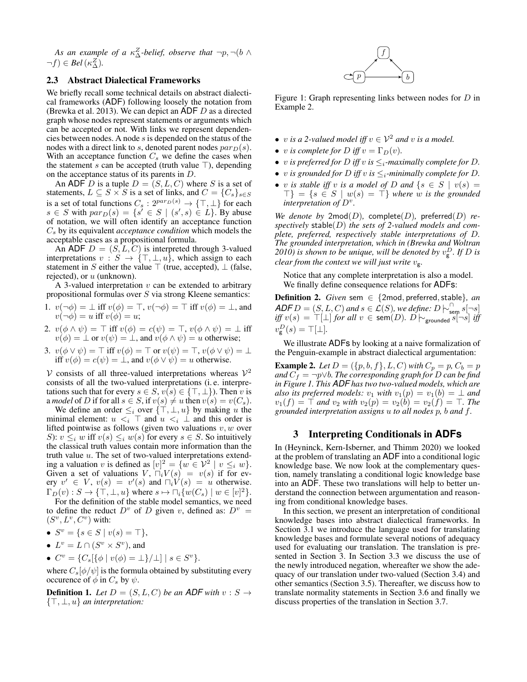As an example of a  $\kappa_\Delta^Z$ -belief, observe that  $\neg p, \neg (b \land b)$  $\neg f) \in Bel\left(\kappa_{\Delta}^{Z}\right).$ 

# 2.3 Abstract Dialectical Frameworks

We briefly recall some technical details on abstract dialectical frameworks (ADF) following loosely the notation from (Brewka et al. 2013). We can depict an ADF D as a directed graph whose nodes represent statements or arguments which can be accepted or not. With links we represent dependencies between nodes. A node s is depended on the status of the nodes with a direct link to s, denoted parent nodes  $par_D(s)$ . With an acceptance function  $C_s$  we define the cases when the statement s can be accepted (truth value  $\top$ ), depending on the acceptance status of its parents in D.

An ADF D is a tuple  $D = (S, L, C)$  where S is a set of statements,  $L \subseteq S \times S$  is a set of links, and  $C = \{C_s\}_{s \in S}$ is a set of total functions  $C_s: 2^{par_D(s)} \to {\{\top, \bot\}}$  for each  $s \in S$  with  $par_D(s) = \{s' \in S \mid (s', s) \in L\}$ . By abuse of notation, we will often identify an acceptance function C<sup>s</sup> by its equivalent *acceptance condition* which models the acceptable cases as a propositional formula.

An ADF  $D = (S, L, C)$  is interpreted through 3-valued interpretations  $v : S \rightarrow \{\top, \bot, u\}$ , which assign to each statement in S either the value  $\top$  (true, accepted),  $\bot$  (false, rejected), or  $u$  (unknown).

A 3-valued interpretation  $v$  can be extended to arbitrary propositional formulas over  $S$  via strong Kleene semantics:

1. 
$$
v(\neg \phi) = \bot
$$
 iff  $v(\phi) = \top$ ,  $v(\neg \phi) = \top$  iff  $v(\phi) = \bot$ , and  
\n $v(\neg \phi) = u$  iff  $v(\phi) = u$ ;

- 2.  $v(\phi \wedge \psi) = \top$  iff  $v(\phi) = c(\psi) = \top$ ,  $v(\phi \wedge \psi) = \bot$  iff  $v(\phi) = \bot$  or  $v(\psi) = \bot$ , and  $v(\phi \land \psi) = u$  otherwise;
- 3.  $v(\phi \vee \psi) = \top$  iff  $v(\phi) = \top$  or  $v(\psi) = \top$ ,  $v(\phi \vee \psi) = \bot$ iff  $v(\phi) = c(\psi) = \bot$ , and  $v(\phi \lor \psi) = u$  otherwise.

 $V$  consists of all three-valued interpretations whereas  $V^2$ consists of all the two-valued interpretations (i. e. interpretations such that for every  $s \in S$ ,  $v(s) \in \{\top, \bot\}$ ). Then v is a *model* of D if for all  $s \in S$ , if  $v(s) \neq u$  then  $v(s) = v(C_s)$ .

We define an order  $\leq_i$  over  $\{\top, \bot, u\}$  by making u the minimal element:  $u \lt_i \top$  and  $u \lt_i \bot$  and this order is lifted pointwise as follows (given two valuations  $v, w$  over S):  $v \leq_i w$  iff  $v(s) \leq_i w(s)$  for every  $s \in S$ . So intuitively the classical truth values contain more information than the truth value  $u$ . The set of two-valued interpretations extending a valuation v is defined as  $[v]^2 = \{w \in \mathcal{V}^2 \mid v \leq_i w\}.$ Given a set of valuations  $V$ ,  $\Box_i V(s) = v(s)$  if for every  $v' \in V$ ,  $v(s) = v'(s)$  and  $\Box_i V(s) = u$  otherwise.  $\Gamma_D(v) : S \to \{\top, \bot, u\}$  where  $s \mapsto \sqcap_i \{w(C_s) \mid w \in [v]^2\}.$ 

For the definition of the stable model semantics, we need to define the reduct  $D^v$  of D given v, defined as:  $D^v =$  $(S^v, L^v, C^v)$  with:

- $S^v = \{ s \in S \mid v(s) = \top \},\$
- $L^v = L \cap (S^v \times S^v)$ , and
- $C^v = \{C_s[\{\phi \mid v(\phi) = \bot\}/\bot] \mid s \in S^v\}.$

where  $C_s[\phi/\psi]$  is the formula obtained by substituting every occurence of  $\phi$  in  $C_s$  by  $\psi$ .

**Definition 1.** Let  $D = (S, L, C)$  be an ADF with  $v : S \rightarrow$  $\{\top, \bot, u\}$  *an interpretation:* 



Figure 1: Graph representing links between nodes for D in Example 2.

- *v is a 2-valued model iff*  $v \in V^2$  *and v is a model.*
- *v is complete for D iff*  $v = \Gamma_D(v)$ *.*
- v *is preferred for D iff* v *is*  $\leq_i$ *-maximally complete for D*.
- *v is grounded for D iff v is*  $\leq_i$ *-minimally complete for D*.
- v *is stable iff* v *is a model of* D *and*  $\{s \in S \mid v(s) =$  $\{\top\} = \{s \in S \mid w(s) = \top\}$  where w is the grounded *interpretation of* D<sup>v</sup> *.*

We denote by  $2 \text{mod}(D)$ , complete(D), preferred(D) *respectively* stable(D) *the sets of 2-valued models and complete, preferred, respectively stable interpretations of* D*. The grounded interpretation, which in (Brewka and Woltran* 2010) is shown to be unique, will be denoted by  $v_{\mathsf{g}}^D$ . If  $D$  is *clear from the context we will just write*  $v_{\sigma}$ *.* 

Notice that any complete interpretation is also a model. We finally define consequence relations for ADFs:

Definition 2. *Given* sem ∈ {2mod, preferred, stable}, an *ADF*  $D = (S, L, C)$  *and*  $s \in \mathcal{L}(S)$ *, we define:*  $D \models_{\text{sem}}^{\cap} s[\neg s]$ *iff*  $v(s) = \top$ [⊥] *for all*  $v \in \mathsf{sem}(D)$ *.*  $D \vdash_{\mathsf{grounded}} s[\neg s]$  *iff*  $v_{\mathbf{g}}^D(s) = \top[\bot].$ 

We illustrate ADFs by looking at a naive formalization of the Penguin-example in abstract dialectical argumentation:

**Example 2.** Let  $D = (\{p, b, f\}, L, C)$  with  $C_p = p$ ,  $C_b = p$ *and*  $C_f$  = ¬p∨b. The corresponding graph for D can be find *in Figure 1. This ADF has two two-valued models, which are also its preferred models:*  $v_1$  *with*  $v_1(p) = v_1(b) = \perp$  *and*  $v_1(f) = \top$  and  $v_2$  with  $v_2(p) = v_2(b) = v_2(f) = \top$ . The *grounded interpretation assigns* u *to all nodes* p*,* b *and* f*.*

#### 3 Interpreting Conditionals in **ADFs**

In (Heyninck, Kern-Isberner, and Thimm 2020) we looked at the problem of translating an ADF into a conditional logic knowledge base. We now look at the complementary question, namely translating a conditional logic knowledge base into an ADF. These two translations will help to better understand the connection between argumentation and reasoning from conditional knowledge bases.

In this section, we present an interpretation of conditional knowledge bases into abstract dialectical frameworks. In Section 3.1 we introduce the language used for translating knowledge bases and formulate several notions of adequacy used for evaluating our translation. The translation is presented in Section 3. In Section 3.3 we discuss the use of the newly introduced negation, whereafter we show the adequacy of our translation under two-valued (Section 3.4) and other semantics (Section 3.5). Thereafter, we discuss how to translate normality statements in Section 3.6 and finally we discuss properties of the translation in Section 3.7.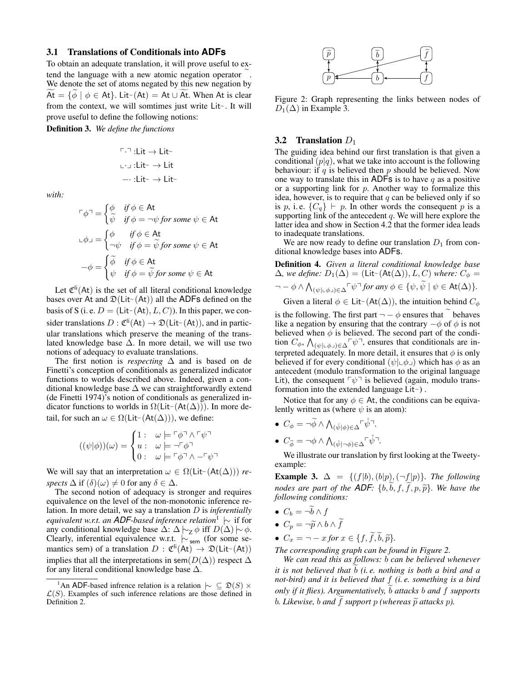#### 3.1 Translations of Conditionals into **ADFs**

To obtain an adequate translation, it will prove useful to extend the language with a new atomic negation operator . We denote the set of atoms negated by this new negation by  $\widetilde{At} = \{\widetilde{\phi} \mid \phi \in At\}$ . Lit~ $(At) = At \cup \widetilde{At}$ . When At is clear from the context, we will somtimes just write  $Lit$ . It will prove useful to define the following notions:

Definition 3. *We define the functions*

$$
\ulcorner \urcorner : \text{Lit} \rightarrow \text{Lit} \urcorner
$$
  
□ ∃ : \text{Lit} \urcorner \rightarrow \text{Lit} \urcorner  
– ∴ : \text{Lit} \urcorner \rightarrow \text{Lit} \urcorner

*with:*

$$
\begin{aligned}\n\mathbf{F}\phi^{\mathsf{T}} &= \begin{cases}\n\phi & \text{if } \phi \in \mathsf{At} \\
\widetilde{\psi} & \text{if } \phi = \neg \psi \text{ for some } \psi \in \mathsf{At} \\
\mathbf{F}\phi^{\mathsf{T}} & \text{if } \phi \in \mathsf{At} \\
\mathbf{F}\phi^{\mathsf{T}} & \text{if } \phi = \widetilde{\psi} \text{ for some } \psi \in \mathsf{At} \\
\mathbf{F}\phi^{\mathsf{T}} & \text{if } \phi = \widetilde{\psi} \text{ for some } \psi \in \mathsf{At} \\
\psi & \text{if } \phi = \widetilde{\psi} \text{ for some } \psi \in \mathsf{At}\n\end{cases}\n\end{aligned}
$$

Let  $\mathfrak{C}^{\text{li}}(\mathsf{At})$  is the set of all literal conditional knowledge bases over At and  $\mathfrak{D}(\text{Lit} \sim (\text{At}))$  all the ADFs defined on the basis of S (i. e.  $D = ($ Lit $\sim$ (At), L, C)). In this paper, we consider translations  $D : \mathfrak{C}^{\mathsf{li}}(A\mathsf{t}) \to \mathfrak{D}(\mathsf{Lit}^{\mathsf{L}}(A\mathsf{t})),$  and in particular translations which preserve the meaning of the translated knowledge base  $\Delta$ . In more detail, we will use two notions of adequacy to evaluate translations.

The first notion is *respecting*  $\Delta$  and is based on de Finetti's conception of conditionals as generalized indicator functions to worlds described above. Indeed, given a conditional knowledge base  $\Delta$  we can straightforwardly extend (de Finetti 1974)'s notion of conditionals as generalized indicator functions to worlds in  $\Omega(\text{Lit}(\Delta)))$ . In more detail, for such an  $\omega \in \Omega(\text{Lit}(\Delta)))$ , we define:

$$
((\psi|\phi))(\omega) = \begin{cases} 1: & \omega \models \ulcorner \phi \urcorner \wedge \ulcorner \psi \urcorner \\ u: & \omega \models \neg \ulcorner \phi \urcorner \\ 0: & \omega \models \ulcorner \phi \urcorner \wedge \ulcorner \ulcorner \psi \urcorner \end{cases}
$$

We will say that an interpretation  $\omega \in \Omega(\text{Lit} \sim (\text{At}(\Delta)))$  *respects*  $\Delta$  if  $(\delta)(\omega) \neq 0$  for any  $\delta \in \Delta$ .

The second notion of adequacy is stronger and requires equivalence on the level of the non-monotonic inference relation. In more detail, we say a translation D is *inferentially equivalent w.r.t. an ADF-based inference relation*<sup>1</sup> |∼ if for any conditional knowledge base  $\Delta$ :  $\Delta$   $\sim$   $\chi$   $\phi$  iff  $D(\Delta)$   $\sim$   $\phi$ . Clearly, inferential equivalence w.r.t.  $\overline{\triangleright}_{\mathsf{sem}}$  (for some semantics sem) of a translation  $D: \mathcal{C}^{\mathsf{li}}(\mathsf{At}) \to \mathfrak{D}(\mathsf{Lit}^{\sim}(\mathsf{At}))$ implies that all the interpretations in sem $(D(\Delta))$  respect  $\Delta$ for any literal conditional knowledge base  $\Delta$ .



Figure 2: Graph representing the links between nodes of  $D_1(\Delta)$  in Example 3.

#### 3.2 Translation  $D_1$

The guiding idea behind our first translation is that given a conditional  $(p|q)$ , what we take into account is the following behaviour: if q is believed then  $p$  should be believed. Now one way to translate this in ADFs is to have  $q$  as a positive or a supporting link for  $p$ . Another way to formalize this idea, however, is to require that  $q$  can be believed only if so is p, i.e.  $\{C_q\} \vdash p$ . In other words the consequent p is a supporting link of the antecedent  $q$ . We will here explore the latter idea and show in Section 4.2 that the former idea leads to inadequate translations.

We are now ready to define our translation  $D_1$  from conditional knowledge bases into ADFs.

Definition 4. *Given a literal conditional knowledge base*  $\Delta$ *, we define:*  $D_1(\Delta) = ($ Lit~ $(At(\Delta)), L, C)$  *where:*  $C_{\phi} =$  $\neg -\phi \wedge \bigwedge_{(\psi|\Box \phi \Box) \in \Delta} \ulcorner \psi \urcorner \text{ for any } \phi \in \{\psi, \widetilde{\psi} \mid \psi \in \mathsf{At}(\Delta)\}.$ 

Given a literal  $\phi \in \text{Lit} \sim (\text{At}(\Delta))$ , the intuition behind  $C_{\phi}$ 

is the following. The first part  $\neg - \phi$  ensures that behaves like a negation by ensuring that the contrary  $-\phi$  of  $\phi$  is not believed when  $\phi$  is believed. The second part of the condition  $C_{\phi}$ ,  $\bigwedge_{(\psi|\perp\phi\perp)\in\Delta} \neg \psi\egroup$ , ensures that conditionals are interpreted adequately. In more detail, it ensures that  $\phi$  is only believed if for every conditional  $(\psi | \psi \phi)$  which has  $\phi$  as an antecedent (modulo transformation to the original language Lit), the consequent  $\nabla \psi$ <sup> $\vec{v}$ </sup> is believed (again, modulo transformation into the extended language  $Lit$ .

Notice that for any  $\phi \in At$ , the conditions can be equivalently written as (where  $\psi$  is an atom):

- $C_{\phi} = \overline{\phi} \wedge \bigwedge_{(\mathring{\psi}|\phi) \in \Delta} \overline{\phi} \overline{\psi}$ .
- $C_{\widetilde{\phi}} = \neg \phi \wedge \bigwedge_{(\mathring{\psi}|\neg \phi) \in \Delta} \ulcorner \mathring{\psi} \urcorner.$

We illustrate our translation by first looking at the Tweetyexample:

**Example 3.**  $\Delta = \{(f|b), (b|p), (\neg f|p)\}$ *. The following nodes are part of the ADF:*  $\{b, \tilde{b}, f, \tilde{f}, p, \tilde{p}\}$ *. We have the following conditions:*

- $C_b = \neg \widetilde{b} \wedge f$
- $C_p = \neg \widetilde{p} \wedge b \wedge \widetilde{f}$
- $C_x = -x$  *for*  $x \in \{f, \tilde{f}, \tilde{b}, \tilde{p}\}.$

*The corresponding graph can be found in Figure 2.*

*We can read this as follows:* b *can be believed whenever it is not believed that b (i.e. nothing is both a bird and a not-bird) and it is believed that* f *(i. e. something is a bird only if it flies). Argumentatively, b attacks b and f supports b. Likewise, b and f support*  $p$  *(whereas*  $\widetilde{p}$  *attacks*  $p$ *).* 

<sup>&</sup>lt;sup>1</sup>An ADF-based infrence relation is a relation  $\sim \subset \mathfrak{D}(S) \times$  $\mathcal{L}(S)$ . Examples of such inference relations are those defined in Definition 2.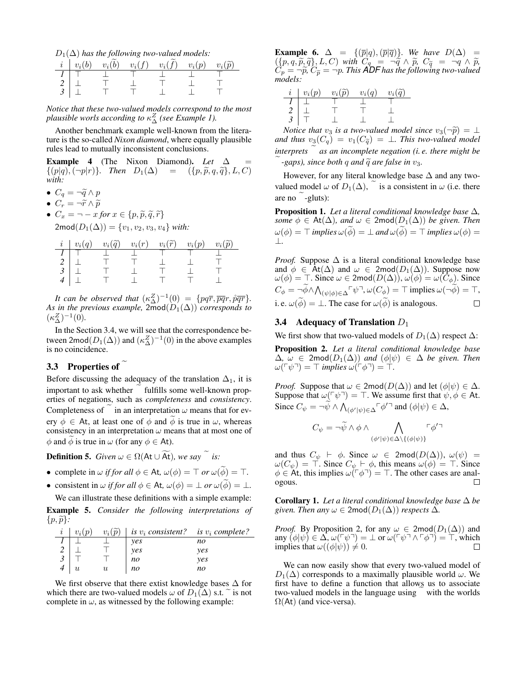$D_1(\Delta)$  has the following two-valued models:

|                                                                   |  | $i \mid v_i(b) \quad v_i(\widetilde{b}) \quad v_i(f) \quad v_i(\widetilde{f}) \quad v_i(p) \quad v_i(\widetilde{p})$ |  |
|-------------------------------------------------------------------|--|----------------------------------------------------------------------------------------------------------------------|--|
|                                                                   |  |                                                                                                                      |  |
|                                                                   |  |                                                                                                                      |  |
| $\begin{array}{c c} 1 & \top \\ 2 & \bot \\ 3 & \bot \end{array}$ |  |                                                                                                                      |  |

*Notice that these two-valued models correspond to the most plausible worls according to* κ Z <sup>∆</sup> *(see Example 1).*

Another benchmark example well-known from the literature is the so-called *Nixon diamond*, where equally plausible rules lead to mutually inconsistent conclusions.

Example 4 (The Nixon Diamond). *Let*  $\Delta$  $\{(p|q), (\neg p|r)\}\)$ . Then  $D_1(\Delta) = (\{p, \tilde{p}, q, \tilde{q}\}, L, C)$ *with:*

- $C_q = \neg \widetilde{q} \wedge p$
- $C_r = \neg \widetilde{r} \wedge \widetilde{p}$
- $C_x = \neg x$  *for*  $x \in \{p, \widetilde{p}, \widetilde{q}, \widetilde{r}\}\$  $2 \text{mod}(D_1(\Delta)) = \{v_1, v_2, v_3, v_4\}$  *with:*

|                                                                                                                       |  | $i \mid v_i(q) \quad v_i(\widetilde{q}) \quad v_i(r) \quad v_i(\widetilde{r}) \quad v_i(p) \quad v_i(\widetilde{p})$ |  |
|-----------------------------------------------------------------------------------------------------------------------|--|----------------------------------------------------------------------------------------------------------------------|--|
|                                                                                                                       |  |                                                                                                                      |  |
|                                                                                                                       |  |                                                                                                                      |  |
| $\begin{array}{c c c}\n1 & \perp & \perp \\ 2 & \perp & \perp \\ 3 & \perp & \perp \\ 4 & \perp & \perp\n\end{array}$ |  |                                                                                                                      |  |
|                                                                                                                       |  |                                                                                                                      |  |

*It can be observed that*  $(\kappa_{\Delta}^{Z})^{-1}(0) = \{pq\overline{r}, \overline{pq}r, \overline{p}\overline{q}r\}.$ *As in the previous example,*  $2 \text{mod}(D_1(\Delta))$  *corresponds to*  $(\kappa_{\Delta}^{Z})^{-1}(0).$ 

In the Section 3.4, we will see that the correspondence between  $2 \text{mod}(D_1(\Delta))$  and  $(\kappa_{\Delta}^Z)^{-1}(0)$  in the above examples is no coincidence.

# 3.3 Properties of

Before discussing the adequacy of the translation  $\Delta_1$ , it is important to ask whether fulfills some well-known properties of negations, such as *completeness* and *consistency*. Completeness of in an interpretation  $\omega$  means that for every  $\phi \in$  At, at least one of  $\phi$  and  $\phi$  is true in  $\omega$ , whereas consistency in an interpretation  $\omega$  means that at most one of  $\phi$  and  $\phi$  is true in  $\omega$  (for any  $\phi \in At$ ).

**Definition 5.** *Given*  $\omega \in \Omega(\mathsf{At} \cup \widetilde{\mathsf{At}})$ *, we say*  $\tilde{a}$  *is:* 

- complete in  $\omega$  *if for all*  $\phi \in$  At,  $\omega(\phi) = \top$  *or*  $\omega(\widetilde{\phi}) = \top$ *.*
- consistent in  $\omega$  *if for all*  $\phi \in$  At,  $\omega(\phi) = \bot$  *or*  $\omega(\phi) = \bot$ *.* We can illustrate these definitions with a simple example:

Example 5. *Consider the following interpretations of*  $\{p,\widetilde{p}\}\.$ 

| $v_i(p)$ | $v_i(\tilde{p})$ | is $v_i$ consistent? is $v_i$ complete? |            |
|----------|------------------|-----------------------------------------|------------|
|          |                  | ves                                     | no         |
|          |                  | ves                                     | <i>ves</i> |
|          |                  | no                                      | <i>ves</i> |
|          | и                | no                                      | no         |

We first observe that there extist knowledge bases  $\Delta$  for which there are two-valued models  $\omega$  of  $D_1(\Delta)$  s.t.  $\tilde{ }$  is not complete in  $\omega$ , as witnessed by the following example:

**Example 6.**  $\Delta = \{(\overline{p}|q),(\overline{p}|\overline{q})\}$ *. We have*  $D(\Delta)$  =  $({p, q, \widetilde{p}, \widetilde{q}}), L, C)$  with  $C_q = \neg \widetilde{q} \wedge \widetilde{p}, C_{\widetilde{q}} = \neg q \wedge \widetilde{p},$ <br>  $C = \neg \widetilde{p}$ ,  $C_{\widetilde{r}} = \neg p$ , This **ADF** has the following two-valued  $\hat{C}_p = -\widetilde{p}, \, \hat{C}_{\widetilde{p}} = -p.$  This **ADF** has the following two-valued models: *models:*

| $i \mid v_i(p)$                                                          | $v_i(\widetilde{p})$ | $v_i(q)$ | $v_i(\tilde{a})$ |
|--------------------------------------------------------------------------|----------------------|----------|------------------|
|                                                                          |                      |          |                  |
| ÷                                                                        |                      |          |                  |
| $\begin{array}{c c c}\n1 & \perp \\ 2 & \perp \\ 3 & \perp\n\end{array}$ |                      |          |                  |

*Notice that*  $v_3$  *is a two-valued model since*  $v_3(\neg \widetilde{p}) = \bot$ *and thus*  $v_3(C_q) = v_1(C_{\widetilde{q}}) = \perp$ *. This two-valued model interprets*  $\alpha$  *as an incomplete negation (i.e. there might be*  $-eaps$ ), since both q and  $\tilde{q}$  are false in  $v_3$ .

However, for any literal knowledge base  $\Delta$  and any twovalued model  $\omega$  of  $D_1(\Delta)$ , is a consistent in  $\omega$  (i.e. there are no  $-g$ luts):

Proposition 1. *Let a literal conditional knowledge base* ∆*, some*  $\phi \in \text{At}(\Delta)$ *, and*  $\omega \in 2 \text{mod}(D_1(\Delta))$  *be given. Then*  $\omega(\phi) = \top$  *implies*  $\omega(\widetilde{\phi}) = \bot$  *and*  $\omega(\widetilde{\phi}) = \top$  *implies*  $\omega(\phi) = \top$ ⊥*.*

*Proof.* Suppose  $\Delta$  is a literal conditional knowledge base and  $\phi \in \text{At}(\Delta)$  and  $\omega \in 2 \text{mod}(D_1(\Delta))$ . Suppose now  $\omega(\phi) = \top$ . Since  $\omega \in 2 \text{mod}(D(\Delta))$ ,  $\omega(\phi) = \omega(C_{\phi})$ . Since  $C_{\phi} = \overline{\phi} \wedge \bigwedge_{(\psi|\phi) \in \Delta} \neg \psi \neg, \omega(C_{\phi}) = \top$  implies  $\omega(\neg \widetilde{\phi}) = \top$ , i. e.  $\omega(\widetilde{\phi}) = \bot$ . The case for  $\omega(\widetilde{\phi})$  is analogous.  $\Box$ 

### 3.4 Adequacy of Translation  $D_1$

We first show that two-valued models of  $D_1(\Delta)$  respect  $\Delta$ :

Proposition 2. *Let a literal conditional knowledge base*  $\Delta$ *, ω* ∈ 2mod( $D_1$ ( $\Delta$ )) *and* ( $\phi$ | $\psi$ ) ∈  $\Delta$  *be given. Then*  $\omega(\ulcorner\psi\urcorner) = \ulcorner$  *implies*  $\omega(\ulcorner\phi\urcorner) = \ulcorner$ .

*Proof.* Suppose that  $\omega \in 2 \text{mod}(D(\Delta))$  and let  $(\phi | \psi) \in \Delta$ . Suppose that  $\omega(\ulcorner \psi \urcorner) = \top$ . We assume first that  $\psi, \phi \in \mathsf{At}$ . Since  $C_{\psi} = \neg \widetilde{\psi} \wedge \bigwedge_{(\phi'|\psi) \in \Delta} \neg \phi'^{\neg}$  and  $(\phi|\psi) \in \Delta$ ,

$$
C_{\psi} = \neg \widetilde{\psi} \land \phi \land \bigwedge_{(\phi'|\psi) \in \Delta \setminus \{(\phi|\psi)\}} \ulcorner \phi'^\neg
$$

and thus  $C_{\psi}$   $\vdash$   $\phi$ . Since  $\omega \in 2 \text{mod}(D(\Delta))$ ,  $\omega(\psi) =$  $\omega(C_{\psi}) = \top$ . Since  $C_{\psi} \vdash \phi$ , this means  $\omega(\phi) = \top$ . Since  $\phi \in \mathsf{At}$ , this implies  $\omega(\neg \phi \neg) = \top$ . The other cases are analogous.

**Corollary 1.** Let a literal conditional knowledge base  $\Delta$  be *given. Then any*  $\omega \in 2 \text{mod}(D_1(\Delta))$  *respects*  $\Delta$ *.* 

*Proof.* By Proposition 2, for any  $\omega \in 2 \text{mod}(D_1(\Delta))$  and any  $(\phi|\psi) \in \Delta$ ,  $\omega(\ulcorner \psi \urcorner) = \bot$  or  $\omega(\ulcorner \psi \urcorner \wedge \ulcorner \phi \urcorner) = \top$ , which implies that  $\omega((\phi|\psi)) \neq 0$ . П

We can now easily show that every two-valued model of  $D_1(\Delta)$  corresponds to a maximally plausible world  $\omega$ . We first have to define a function that allows us to associate two-valued models in the language using with the worlds  $\Omega$ (At) (and vice-versa).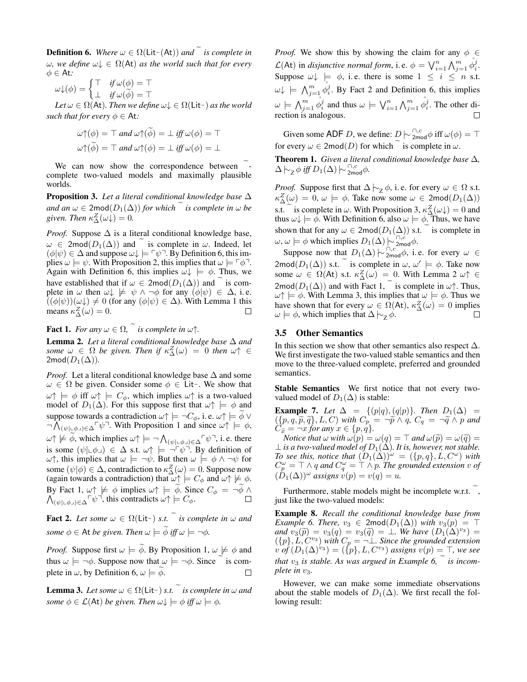**Definition 6.** *Where*  $\omega \in \Omega(\mathsf{Lit} \sim (\mathsf{At}))$  *and*  $\tilde{\alpha}$  *is complete in*  $ω$ *, we define*  $ω$ <sub> $>$ </sub>  $∈ Ω(At)$  *as the world such that for every*  $\phi \in$  At:

$$
\omega \downarrow (\phi) = \begin{cases} \top & \text{if } \omega(\phi) = \top \\ \bot & \text{if } \omega(\widetilde{\phi}) = \top \end{cases}
$$

 $Let \omega \in \Omega(\mathsf{At})$ *. Then we define*  $\omega \downarrow \in \Omega(\mathsf{Lit}^{\sim})$  *as the world such that for every*  $\phi \in$  At:

$$
\omega \uparrow (\phi) = \top \text{ and } \omega \uparrow (\tilde{\phi}) = \bot \text{ iff } \omega(\phi) = \top
$$

$$
\omega \uparrow (\tilde{\phi}) = \top \text{ and } \omega \uparrow (\phi) = \bot \text{ iff } \omega(\phi) = \bot
$$

We can now show the correspondence between complete two-valued models and maximally plausible worlds.

Proposition 3. *Let a literal conditional knowledge base* ∆ *and an*  $\omega \in 2 \text{mod}(D_1(\Delta))$  *for which is complete in*  $\omega$  *be* given. Then  $\kappa_{\Delta}^{Z}(\omega) = 0$ .

*Proof.* Suppose  $\Delta$  is a literal conditional knowledge base,  $\omega \in \text{2mod}(D_1(\Delta))$  and is complete in  $\omega$ . Indeed, let  $(\phi|\psi) \in \Delta$  and suppose  $\omega \downarrow \models \neg \psi \neg$ . By Definition 6, this implies  $\omega \models \psi$ . With Proposition 2, this implies that  $\omega \models \neg \phi \neg$ . Again with Definition 6, this implies  $\omega \downarrow$   $=$   $\phi$ . Thus, we have established that if  $\omega \in 2mod(D_1(\Delta))$  and  $\tilde{\alpha}$  is complete in  $\omega$  then  $\omega \downarrow \not\models \psi \wedge \neg \phi$  for any  $(\phi | \psi) \in \Delta$ , i.e.  $((\phi|\psi))(\omega\downarrow) \neq 0$  (for any  $(\phi|\psi) \in \Delta$ ). With Lemma 1 this means  $\kappa_{\Delta}^{Z}(\omega) = 0.$  $\Box$ 

**Fact 1.** *For any*  $\omega \in \Omega$ ,  $\tilde{\alpha}$  *is complete in*  $\omega \uparrow$ .

Lemma 2. *Let a literal conditional knowledge base* ∆ *and some*  $\omega \in \Omega$  *be given. Then if*  $\kappa_{\Delta}^{Z}(\omega) = 0$  *then*  $\omega \uparrow \in$  $2 \text{mod}(D_1(\Delta)).$ 

*Proof.* Let a literal conditional knowledge base  $\Delta$  and some  $\omega \in \Omega$  be given. Consider some  $\phi \in \text{Lit}$ . We show that  $\omega \uparrow \models \phi$  iff  $\omega \uparrow \models C_{\phi}$ , which implies  $\omega \uparrow$  is a two-valued model of  $D_1(\Delta)$ . For this suppose first that  $\omega \uparrow \models \phi$  and suppose towards a contradiction  $\omega \uparrow \models \neg C_{\phi}$ , i. e.  $\omega \uparrow \models \phi \vee \neg \bigwedge_{(\psi|\sqcup \phi \sqcup) \in \Delta} \neg \psi$ . With Proposition 1 and since  $\omega \uparrow \models \phi$ ,  $\omega \uparrow \not\models \widetilde{\phi}$ , which implies  $\omega \uparrow \models \neg \bigwedge_{(\psi \mid \perp \phi \lrcorner) \in \Delta} \neg \psi \neg$ , i.e. there is some  $(\psi | \psi \phi) \in \Delta$  s.t.  $\omega \uparrow \models \neg \ulcorner \psi \urcorner$ . By definition of  $ω\uparrow$ , this implies that  $ω$  |= ¬ψ. But then  $ω$  |=  $φ \land \neg ψ$  for some  $(\psi|\phi) \in \Delta$ , contradiction to  $\kappa_{\Delta}^{Z}(\omega) = 0$ . Suppose now (again towards a contradiction) that  $\omega \uparrow \models C_{\phi}$  and  $\omega \uparrow \not\models \phi$ . By Fact 1, By Fact 1,  $\omega \uparrow \neq \phi$  implies  $\omega \uparrow \models \phi$ . Since  $C_{\phi} = \neg \phi \wedge \wedge \phi$ ,  $\wedge \neg \phi \wedge \neg \phi$ , this contradicts  $\omega \uparrow \models C_{\phi}$ .  $(\psi |_{\psi} \phi)_{\psi} \in \Delta^{\Box} \psi^{\Box}$ , this contradicts  $\omega \uparrow \models C_{\phi}$ .

**Fact 2.** Let some  $\omega \in \Omega(\text{Lit-})$  *s.t.* is complete in  $\omega$  and *some*  $\phi \in$  At *be given. Then*  $\omega \models \widetilde{\phi}$  *iff*  $\omega \models \neg \phi$ *.* 

*Proof.* Suppose first  $\omega \models \widetilde{\phi}$ . By Proposition 1,  $\omega \not\models \phi$  and thus  $\omega \models \neg \phi$ . Suppose now that  $\omega \models \neg \phi$ . Since  $\tilde{\circ}$  is complete in  $\omega$ , by Definition 6,  $\omega \models \phi$ .

**Lemma 3.** Let some  $\omega \in \Omega(\text{Lit-})$  *s.t.* is complete in  $\omega$  and *some*  $\phi \in \mathcal{L}(\mathsf{At})$  *be given. Then*  $\omega \downarrow \models \phi$  *iff*  $\omega \models \phi$ .

*Proof.* We show this by showing the claim for any  $\phi \in$  $\mathcal{L}(\mathsf{At})$  in *disjunctive normal form*, i.e.  $\phi = \bigvee_{i=1}^{n} \bigwedge_{j=1}^{m} \phi_i^j$ . Suppose  $\omega \downarrow \models \phi$ , i.e. there is some  $1 \leq i \leq n$  s.t.  $\omega \downarrow \; \models \; \bigwedge_{j=1}^{m} \varphi_i^j$ . By Fact 2 and Definition 6, this implies  $\omega \models \bigwedge_{j=1}^m \stackrel{\circ}{\phi_i^j}$  and thus  $\omega \models \bigvee_{i=1}^n \bigwedge_{j=1}^m \stackrel{\circ}{\phi_i^j}$ . The other di- $\Box$ rection is analogous.

Given some ADF D, we define:  $D \sim 2 \text{mod } \phi$  iff  $\omega(\phi) = \top$ for every  $\omega \in 2 \text{mod}(D)$  for which  $\tilde{e}$  is complete in  $\omega$ .

**Theorem 1.** *Given a literal conditional knowledge base*  $\Delta$ *,*  $\Delta \leftarrow_Z \phi$  *iff*  $D_1(\Delta) \leftarrow \frac{\cap c}{2 \text{mod } \phi}$ .

*Proof.* Suppose first that  $\Delta \models_{\mathbb{Z}} \phi$ , i.e. for every  $\omega \in \Omega$  s.t.  $\kappa_{\Delta}^{Z}(\omega) = 0, \, \omega \models \phi$ . Take now some  $\omega \in 2 \text{mod}(D_1(\Delta))$ s.t. is complete in  $\omega$ . With Proposition 3,  $\kappa_{\Delta}^{Z}(\omega_{\phi}) = 0$  and thus  $\omega \downarrow \models \phi$ . With Definition 6, also  $\omega \models \phi$ . Thus, we have shown that for any  $\omega \in 2 \text{mod}(D_1(\Delta))$  s.t. is complete in  $\omega, \omega \models \phi$  which implies  $D_1(\Delta) \big| \sim_{2 \text{mod}}^{\cap, c'} \phi$ .

Suppose now that  $D_1(\Delta) \sim \frac{D_1}{2 \text{mod } 1}$ , i.e. for every  $\omega \in$ 2mod $(D_1(\Delta))$  s.t. is complete in  $\omega$ ,  $\omega' \models \phi$ . Take now some  $\omega \in \Omega(\mathsf{At})$  s.t.  $\kappa_{\Delta}^Z(\omega) = 0$ . With Lemma 2  $\omega \uparrow \in$  $2 \text{mod}(D_1(\Delta))$  and with Fact 1, is complete in  $\omega \uparrow$ . Thus,  $\omega \uparrow \models \phi$ . With Lemma 3, this implies that  $\omega \models \phi$ . Thus we have shown that for every  $\omega \in \Omega(\mathsf{At}), \kappa^Z_{\Delta}(\omega) = 0$  implies  $ω ⊨ φ$ , which implies that  $Δ$   $\vdash_Z φ$ .  $\Box$ 

### 3.5 Other Semantics

In this section we show that other semantics also respect  $\Delta$ . We first investigate the two-valued stable semantics and then move to the three-valued complete, preferred and grounded semantics.

Stable Semantics We first notice that not every twovalued model of  $D_1(\Delta)$  is stable:

**Example 7.** Let  $\Delta = \{(p|q), (q|p)\}\$ . Then  $D_1(\Delta) =$  $(\{p, q, \widetilde{p}, \widetilde{q}\}, L, C)$  *with*  $C_p = \neg \widetilde{p} \wedge q$ ,  $C_q = \neg \widetilde{q} \wedge p$  *and*<br> $C_{\widetilde{r}} = \neg r$  for any  $r \in \{p, q\}$  $C_{\widetilde{x}} = \neg x$  *for any*  $x \in \{p, q\}.$ <br>Notice that  $\cup$  with  $\cup$   $(n)$  =

*Notice that*  $\omega$  *with*  $\omega(p) = \omega(q) = \top$  *and*  $\omega(\tilde{p}) = \omega(\tilde{q}) =$  $⊥$  *is a two-valued model of*  $D_1(∆)$ *. It is, however, not stable. To see this, notice that*  $(D_1(\Delta))^{\omega} = (\{p,q\}, L, C^{\omega})$  *with*  $C_p^{\omega} = \top \wedge q$  and  $C_q^{\omega} = \top \wedge p$ . The grounded extension  $v$  of  $(\hat{D}_1(\Delta))^{\omega}$  *assigns*  $v(p) = v(q) = u$ .

Furthermore, stable models might be incomplete w.r.t., just like the two-valued models:

Example 8. *Recall the conditional knowledge base from Example 6. There,*  $v_3 \in 2 \text{mod}(D_1(\Delta))$  *with*  $v_3(p) = \top$  $and \overline{v_3(\tilde{p})} = v_3(q) = v_3(\tilde{q}) = \perp$ . We have  $(D_1(\Delta)^{v_3}) = (\{p\}, L, C^{v_3})$  *with*  $C_p = \neg \perp$ *. Since the grounded extension*  $\hat{v}$  *of*  $(D_1(\Delta)^{v_3}) = (\{p\}, L, C^{v_3})$  *assigns*  $v(p) = \top$ , we see *that*  $v_3$  *is stable. As was argued in Example 6, is incomplete in*  $v_3$ *.* 

However, we can make some immediate observations about the stable models of  $D_1(\Delta)$ . We first recall the following result: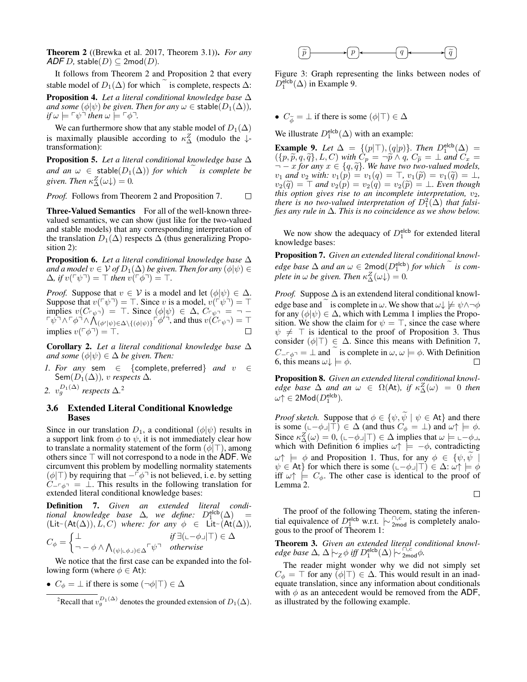Theorem 2 ((Brewka et al. 2017, Theorem 3.1)). *For any*  $ADF D$ , stable $(D) \subseteq 2 \text{mod}(D)$ .

It follows from Theorem 2 and Proposition 2 that every stable model of  $D_1(\Delta)$  for which is complete, respects  $\Delta$ : Proposition 4. *Let a literal conditional knowledge base* ∆ *and some*  $(\phi|\psi)$  *be given. Then for any*  $\omega \in$  stable $(D_1(\Delta))$ *,*  $if \omega \models \ulcorner \psi \urcorner \ then \ \omega \models \ulcorner \phi \urcorner.$ 

We can furthermore show that any stable model of  $D_1(\Delta)$ is maximally plausible according to  $\kappa_{\Delta}^{Z}$  (modulo the  $\downarrow$ transformation):

Proposition 5. *Let a literal conditional knowledge base* ∆ *and an*  $\omega \in$  stable( $D_1(\Delta)$ ) *for which* is complete be given. Then  $\kappa_{\Delta}^{Z}(\omega) = 0$ .

*Proof.* Follows from Theorem 2 and Proposition 7.  $\Box$ 

Three-Valued Semantics For all of the well-known threevalued semantics, we can show (just like for the two-valued and stable models) that any corresponding interpretation of the translation  $D_1(\Delta)$  respects  $\Delta$  (thus generalizing Proposition 2):

Proposition 6. *Let a literal conditional knowledge base* ∆ *and a model*  $v \in V$  *of*  $D_1(\Delta)$  *be given. Then for any*  $(\phi|\psi) \in$  $\Delta$ *, if*  $v(\lceil \psi \rceil) = \top$  *then*  $v(\lceil \phi \rceil) = \top$ *.* 

*Proof.* Suppose that  $v \in V$  is a model and let  $(\phi | \psi) \in \Delta$ . Suppose that  $v(\ulcorner \psi \urcorner) = \top$ . Since v is a model,  $v(\ulcorner \psi \urcorner) = \top$ implies  $v(C_{\lceil \psi \rceil}) = \top$ . Since  $(\phi | \psi) \in \Delta$ ,  $C_{\lceil \psi \rceil} = \top$  $\int_{0}^{\infty} \int_{0}^{\infty} \sqrt{\phi} \cdot d\phi \sqrt{\phi} \left(\phi\right) \left(\phi\right) \left(\phi\right) \left(\phi\right) \left(\phi\right) \left(\phi\right) \left(\phi\right) \left(\phi\right) \left(\phi\right) \left(\phi\right) \left(\phi\right) \left(\phi\right) \left(\phi\right) \left(\phi\right) \left(\phi\right) \left(\phi\right) \left(\phi\right) \left(\phi\right) \left(\phi\right) \left(\phi\right) \left(\phi\right) \left(\phi\right) \left(\phi\right) \left(\phi\right) \left(\phi\right) \left(\phi\right) \left(\$ implies  $v(\ulcorner \phi \urcorner) = \ulcorner$ .  $\Box$ 

Corollary 2. *Let a literal conditional knowledge base* ∆ *and some*  $(\phi | \psi) \in \Delta$  *be given. Then:* 

- *1. For any* sem ∈ {complete, preferred} *and* v ∈ Sem $(D_1(\Delta))$ *, v respects*  $\Delta$ *.*
- 2.  $v_g^{D_1(\Delta)}$  respects  $\Delta$ <sup>2</sup>

#### 3.6 Extended Literal Conditional Knowledge Bases

Since in our translation  $D_1$ , a conditional  $(\phi|\psi)$  results in a support link from  $\phi$  to  $\psi$ , it is not immediately clear how to translate a normality statement of the form  $(\phi | \top)$ , among others since  $\top$  will not correspond to a node in the ADF. We circumvent this problem by modelling normality statements  $(\phi|\top)$  by requiring that  $-\ulcorner \phi \urcorner$  is not believed, i. e. by setting  $C_{-\Gamma_{\phi}} = \bot$ . This results in the following translation for extended literal conditional knowledge bases:

Definition 7. *Given an extended literal conditional knowledge base*  $\Delta$ , we define:  $D_1^{\text{elcb}}(\Delta)$  =  $(Lit<sup>~</sup>(At(∆)), L, C)$  *where: for any*  $\phi \in Lit<sup>~</sup>(At(∆)),$ 

$$
C_{\phi} = \begin{cases} \perp & \text{if } \exists (\llcorner -\phi \lrcorner | \top) \in \Delta \\ \neg -\phi \land \bigwedge_{(\psi | \llcorner \phi \lrcorner) \in \Delta} \ulcorner \psi \urcorner & \text{otherwise} \end{cases}
$$

We notice that the first case can be expanded into the following form (where  $\phi \in At$ ):

•  $C_{\phi} = \perp$  if there is some  $(\neg \phi | \top) \in \Delta$ 



Figure 3: Graph representing the links between nodes of  $D_1^{\text{elcb}}(\Delta)$  in Example 9.

•  $C_{\widetilde{\phi}} = \bot$  if there is some  $(\phi | \top) \in \Delta$ 

We illustrate  $D_1^{\text{elcb}}(\Delta)$  with an example:

**Example 9.** Let  $\Delta = \{(p|\top), (q|p)\}\$ . Then  $D_1^{\text{elcb}}(\Delta) =$  $({p,\widetilde{p}, q, \widetilde{q}}), L, C)$  with  $C_p = \neg \widetilde{p} \wedge q$ ,  $C_{\widetilde{p}} = \perp$  and  $C_x = \neg r$  for any  $r \in \{q, \widetilde{q}\}$ . We have two two-valued models  $\vec{r} - x$  *for any*  $x \in \{q, \tilde{q}\}\.$  We have two two-valued models,<br>*y*<sub>1</sub> and *y*<sub>2</sub> with: *y*<sub>1</sub>(*n*) = *y*<sub>1</sub>(*a*) =  $\top$  *y*<sub>1</sub>( $\tilde{p}$ ) = *y*<sub>1</sub>( $\tilde{q}$ ) = 1  $v_1$  *and*  $v_2$  *with:*  $v_1(p) = v_1(q) = \top$ ,  $v_1(\tilde{p}) = v_1(\tilde{q}) = \bot$ ,  $v_2(\widetilde{q}) = \top$  and  $v_2(p) = v_2(\widetilde{q}) = v_2(\widetilde{p}) = \bot$ *. Even though this option gives rise to an incomplete interpretation,*  $v_2$ *, there* is no two-valued interpretation of  $D_1^2(\Delta)$  that falsi*fies any rule in* ∆*. This is no coincidence as we show below.*

We now show the adequacy of  $D_1^{\text{elcb}}$  for extended literal knowledge bases:

Proposition 7. *Given an extended literal conditional knowledge base*  $\Delta$  *and an*  $\omega \in 2 \text{mod}(D_1^{\text{elcb}})$  *for which* is com*plete in*  $\omega$  *be given. Then*  $\kappa_{\Delta}^{Z}(\omega) = 0$ *.* 

*Proof.* Suppose  $\Delta$  is an extendend literal conditional knowledge base and is complete in  $\omega$ . We show that  $\omega \downarrow \neq \psi \wedge \neg \phi$ for any  $(\phi|\psi) \in \Delta$ , which with Lemma 1 implies the Proposition. We show the claim for  $\psi = \top$ , since the case where  $\psi \neq \top$  is identical to the proof of Proposition 3. Thus consider ( $\phi|\top$ ) ∈  $\Delta$ . Since this means with Definition 7,  $C_{-\tau,\phi}$ <sup>-</sup> = ⊥ and is complete in  $\omega$ ,  $\omega \models \phi$ . With Definition 6, this means  $\omega \downarrow \models \phi$ . 6, this means  $\omega \downarrow \models \phi$ .

Proposition 8. *Given an extended literal conditional knowledge base*  $\Delta$  *and an*  $\omega \in \Omega(\mathsf{At})$ *, if*  $\kappa_{\Delta}^Z(\omega) = 0$  *then*  $\omega \uparrow \in 2\mathsf{Mod}(D_1^{\mathsf{elcb}}).$ 

*Proof sketch.* Suppose that  $\phi \in {\psi, \psi \mid \psi \in At}$  and there is some  $(\bot \neg \phi \Box \top) \in \Delta$  (and thus  $C_{\phi} = \bot$ ) and  $\omega \uparrow \models \phi$ . Since  $\kappa_{\Delta}^{Z}(\omega) = 0$ ,  $(\omega - \phi_{\Delta} | T) \in \Delta$  implies that  $\omega \models \omega - \phi_{\Delta}$ , which with Definition 6 implies  $\omega \uparrow \models -\phi$ , contradicting  $\omega \uparrow \models \phi$  and Proposition 1. Thus, for any  $\phi \in {\psi, \psi}$  $\psi \in$  At} for which there is some  $(\Box - \phi \Box \top) \in \Delta$ :  $\omega \uparrow \models \phi$ iff  $\omega \uparrow$   $\models$   $C_{\phi}$ . The other case is identical to the proof of Lemma 2.

$$
\Box
$$

The proof of the following Theorem, stating the inferential equivalence of  $D_1^{\text{elcb}}$  w.r.t.  $\sim \frac{\cap}{2}$  is completely analogous to the proof of Theorem 1:

Theorem 3. *Given an extended literal conditional knowl* $edge base$  Δ*,* Δ  $\vdash$ <sub>Z</sub> φ *iff*  $D_1^{\text{elcb}}(Δ)$   $\vdash$   $\frac{\cap}{2 \text{mod }} φ$ *.* 

The reader might wonder why we did not simply set  $C_{\phi} = \top$  for any  $(\phi | \top) \in \Delta$ . This would result in an inadequate translation, since any information about conditionals with  $\phi$  as an antecedent would be removed from the ADF, as illustrated by the following example.

<sup>&</sup>lt;sup>2</sup>Recall that  $v_g^{D_1(\Delta)}$  denotes the grounded extension of  $D_1(\Delta)$ .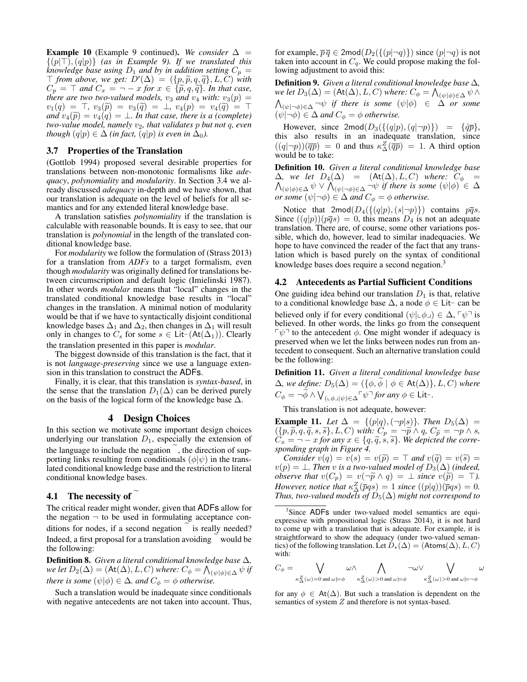**Example 10** (Example 9 continued). We consider  $\Delta$  =  $\{(p|T), (q|p)\}\$  (as in Example 9). If we translated this *knowledge base using*  $D_1$  *and by in addition setting*  $C_p$  =  $\top$  from above, we get:  $\overline{D}'(\Delta) = (\{p, \tilde{p}, q, \tilde{q}\}, L, C)$  with  $C = \top$  and  $C = \top$   $\top$  for  $x \in \{\tilde{p}, q, \tilde{q}\}$ . In that case  $C_p = \top$  and  $C_x = \neg -x$  for  $x \in {\{\widetilde{p}, q, \widetilde{q}\}}$ . In that case, there are two two-valued models,  $v_3$  and  $v_4$  with:  $v_3(p) =$  $v_1(q) = \top$ ,  $v_3(\tilde{p}) = v_3(\tilde{q}) = \bot$ ,  $v_4(p) = v_4(\tilde{q}) = \top$ *and*  $v_4(\tilde{p}) = v_4(q) = \perp$ *. In that case, there is a (complete) two-value model, namely*  $v_2$ *, that validates p but not q, even though*  $(q|p) \in \Delta$  *(in fact,*  $(q|p)$  *is even in*  $\Delta_0$ *).* 

#### 3.7 Properties of the Translation

(Gottlob 1994) proposed several desirable properties for translations between non-monotonic formalisms like *adequacy*, *polynomiality* and *modularity*. In Section 3.4 we already discussed *adequacy* in-depth and we have shown, that our translation is adequate on the level of beliefs for all semantics and for any extended literal knowledge base.

A translation satisfies *polynomiality* if the translation is calculable with reasonable bounds. It is easy to see, that our translation is *polynomial* in the length of the translated conditional knowledge base.

For *modularity* we follow the formulation of (Strass 2013) for a translation from *ADFs* to a target formalism, even though *modularity* was originally defined for translations between circumscription and default logic (Imielinski 1987). In other words *modular* means that "local" changes in the translated conditional knowledge base results in "local" changes in the translation. A minimal notion of modularity would be that if we have to syntactically disjoint conditional knowledge bases  $\Delta_1$  and  $\Delta_2$ , then changes in  $\Delta_1$  will result only in changes to  $C_s$  for some  $s \in \text{Lit} \sim (\text{At}(\Delta_1)).$  Clearly the translation presented in this paper is *modular*.

The biggest downside of this translation is the fact, that it is not *language-preserving* since we use a language extension in this translation to construct the ADFs.

Finally, it is clear, that this translation is *syntax-based*, in the sense that the translation  $D_1(\Delta)$  can be derived purely on the basis of the logical form of the knowledge base  $\Delta$ .

### 4 Design Choices

In this section we motivate some important design choices underlying our translation  $D_1$ , especially the extension of the language to include the negation, the direction of supporting links resulting from conditionals  $(\phi | \psi)$  in the translated conditional knowledge base and the restriction to literal conditional knowledge bases.

# 4.1 The necessity of  $\tilde{ }$

The critical reader might wonder, given that ADFs allow for the negation  $\neg$  to be used in formulating acceptance conditions for nodes, if a second negation is really needed? Indeed, a first proposal for a translation avoiding would be the following:

Definition 8. *Given a literal conditional knowledge base* ∆*,* we let  $D_2(\Delta) = (\mathsf{At}(\Delta), L, C)$  where:  $C_\phi = \bigwedge_{(\psi \mid \phi) \in \Delta} \psi$  if *there is some*  $(\psi | \phi) \in \Delta$ *. and*  $C_{\phi} = \phi$  *otherwise.* 

Such a translation would be inadequate since conditionals with negative antecedents are not taken into account. Thus,

for example,  $\overline{p} \overline{q} \in 2 \text{mod}(D_2(\{(p|\neg q)\})$  since  $(p|\neg q)$  is not taken into account in  $C_q$ . We could propose making the following adjustment to avoid this:

Definition 9. *Given a literal conditional knowledge base* ∆*,* we let  $D_3(\Delta) = (\mathsf{At}(\Delta), L, C)$  where:  $C_\phi = \bigwedge_{(\psi|\phi) \in \Delta} \psi \, \wedge$  $\bigwedge_{(\psi|\neg\phi)\in\Delta}\neg\psi$  *if there is some*  $(\psi|\phi)$   $\in$   $\Delta$  *or some*  $(\psi | \neg \phi) \in \Delta$  *and*  $C_{\phi} = \phi$  *otherwise.* 

However, since  $2 \text{mod}(D_3(\{(q|p),(q|\neg p)\}) = \{\tilde{q}\bar{p}\},$ this also results in an inadequate translation, since  $((q|\neg p))(\overline{qp}) = 0$  and thus  $\kappa_\Delta^Z(\overline{qp}) = 1$ . A third option would be to take:

Definition 10. *Given a literal conditional knowledge base*  $\wedge$  $\Delta$ *, we let*  $D_4(\Delta)$  *= (*At( $\Delta$ )*, L, C*) *where:*  $C_\phi$  =  $(\psi|\phi) \in \Delta \,\psi \vee \bigwedge_{(\psi|\neg\phi) \in \Delta} \neg \psi$  *if there is some*  $(\psi|\phi) \in \Delta$ *or some*  $(\psi | \neg \phi) \in \Delta$  *and*  $C_{\phi} = \phi$  *otherwise.* 

Notice that  $2 \text{mod}(D_4({\{(q|p), (s|\neg p)\}})$  contains  $p\overline{q}s$ . Since  $((q|p))(\overline{p}\overline{q}s) = 0$ , this means  $D_4$  is not an adequate translation. There are, of course, some other variations possible, which do, however, lead to similar inadequacies. We hope to have convinced the reader of the fact that any translation which is based purely on the syntax of conditional knowledge bases does require a second negation.<sup>3</sup>

#### 4.2 Antecedents as Partial Sufficient Conditions

One guiding idea behind our translation  $D_1$  is that, relative to a conditional knowledge base  $\Delta$ , a node  $\phi \in \text{Lit}^{\perp}$  can be believed only if for every conditional  $(\psi | \phi) \in \Delta$ ,  $\phi$ <sup> $\exists$ </sup> is believed. In other words, the links go from the consequent  $\lceil \psi \rceil$  to the antecedent  $\phi$ . One might wonder if adequacy is preserved when we let the links between nodes run from antecedent to consequent. Such an alternative translation could be the following:

Definition 11. *Given a literal conditional knowledge base*  $\Delta$ *, we define:*  $D_5(\Delta) = (\{\phi, \widetilde{\phi} \mid \phi \in \text{At}(\Delta)\}, L, C)$  *where*  $C_{\phi} = \neg \widetilde{\phi} \land \bigvee_{(\bot \phi \bot | \psi) \in \Delta} \ulcorner \psi \urcorner \text{ for any } \phi \in \mathsf{Lit} \urcorner.$ 

This translation is not adequate, however:

**Example 11.** *Let*  $\Delta = \{(p|q), (\neg p|s)\}\$ *. Then*  $D_5(\Delta) =$  $({p,\widetilde{p},q,\widetilde{q},s,\widetilde{s}}$ , L, C) with:  $C_p = \neg \widetilde{p} \wedge q$ ,  $C_{\widetilde{p}} = \neg p \wedge s$ ,<br>  $C_p = \neg -r$  for any  $r \in \{g, \widetilde{g}, s, \widetilde{s}\}$ . We denicted the corre- $C_x = \neg -x$  for any  $x \in \{q, \tilde{q}, s, \tilde{s}\}$ . We depicted the corre-<br>sponding graph in Figure 4 *sponding graph in Figure 4.*

*Consider*  $v(q) = v(s) = v(\tilde{p}) = \top$  and  $v(\tilde{q}) = v(\tilde{s}) = \top$  $v(p) = \perp$ . Then v is a two-valued model of  $D_3(\Delta)$  (indeed, *observe that*  $v(C_p) = v(\neg \widetilde{p} \land q) = \bot$  *since*  $v(\widetilde{p}) = \top$ *). However, notice that*  $\kappa_{\Delta}^{Z}(\overline{p}qs) = 1$  *since*  $((p|q))(\overline{p}qs) = 0$ *. Thus, two-valued models of*  $D_5(\Delta)$  *might not correspond to* 

<sup>3</sup>Since ADFs under two-valued model semantics are equiexpressive with propositional logic (Strass 2014), it is not hard to come up with a translation that is adequate. For example, it is straightforward to show the adequacy (under two-valued semantics) of the following translation. Let  $D_{\star}(\Delta) = (A \text{tons}(\Delta), L, C)$ with:

$$
C_\phi=\bigvee_{\kappa_{\Delta}^Z(\omega)=0\text{ and }\omega\models\phi}\omega\wedge\bigwedge_{\kappa_{\Delta}^Z(\omega)>0\text{ and }\omega\models\phi}\neg\omega\vee\bigvee_{\kappa_{\Delta}^Z(\omega)>0\text{ and }\omega\models\neg\phi}\omega
$$

for any  $\phi \in At(\Delta)$ . But such a translation is dependent on the semantics of system  $Z$  and therefore is not syntax-based.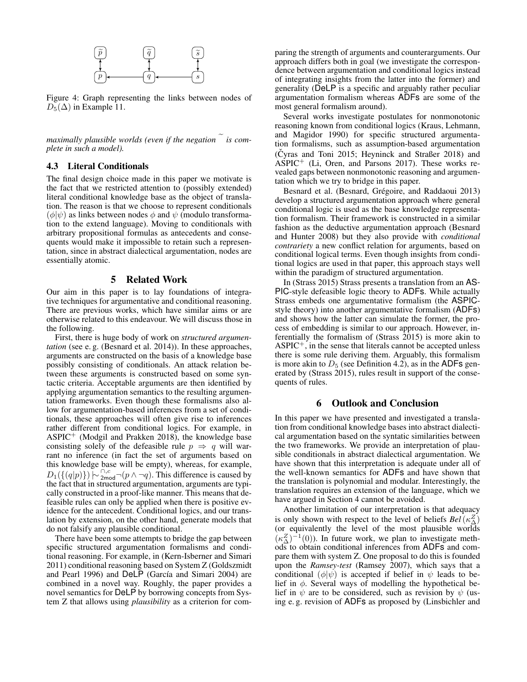

Figure 4: Graph representing the links between nodes of  $D_5(\Delta)$  in Example 11.

*maximally plausible worlds (even if the negation* is com*plete in such a model).*

### 4.3 Literal Conditionals

The final design choice made in this paper we motivate is the fact that we restricted attention to (possibly extended) literal conditional knowledge base as the object of translation. The reason is that we choose to represent conditionals  $(\phi|\psi)$  as links between nodes  $\phi$  and  $\psi$  (modulo transformation to the extend language). Moving to conditionals with arbitrary propositional formulas as antecedents and consequents would make it impossible to retain such a representation, since in abstract dialectical argumentation, nodes are essentially atomic.

#### 5 Related Work

Our aim in this paper is to lay foundations of integrative techniques for argumentative and conditional reasoning. There are previous works, which have similar aims or are otherwise related to this endeavour. We will discuss those in the following.

First, there is huge body of work on *structured argumentation* (see e. g. (Besnard et al. 2014)). In these approaches, arguments are constructed on the basis of a knowledge base possibly consisting of conditionals. An attack relation between these arguments is constructed based on some syntactic criteria. Acceptable arguments are then identified by applying argumentation semantics to the resulting argumentation frameworks. Even though these formalisms also allow for argumentation-based inferences from a set of conditionals, these approaches will often give rise to inferences rather different from conditional logics. For example, in  $ASPIC<sup>+</sup>$  (Modgil and Prakken 2018), the knowledge base consisting solely of the defeasible rule  $p \Rightarrow q$  will warrant no inference (in fact the set of arguments based on this knowledge base will be empty), whereas, for example,  $D_1(\{(q|p)\}) \sim \lim_{2 \text{mod}} \neg(p \land \neg q)$ . This difference is caused by the fact that in structured argumentation, arguments are typically constructed in a proof-like manner. This means that defeasible rules can only be applied when there is positive evidence for the antecedent. Conditional logics, and our translation by extension, on the other hand, generate models that do not falsify any plausible conditional.

There have been some attempts to bridge the gap between specific structured argumentation formalisms and conditional reasoning. For example, in (Kern-Isberner and Simari 2011) conditional reasoning based on System Z (Goldszmidt and Pearl 1996) and DeLP (García and Simari 2004) are combined in a novel way. Roughly, the paper provides a novel semantics for DeLP by borrowing concepts from System Z that allows using *plausibility* as a criterion for comparing the strength of arguments and counterarguments. Our approach differs both in goal (we investigate the correspondence between argumentation and conditional logics instead of integrating insights from the latter into the former) and generality (DeLP is a specific and arguably rather peculiar argumentation formalism whereas ADFs are some of the most general formalism around).

Several works investigate postulates for nonmonotonic reasoning known from conditional logics (Kraus, Lehmann, and Magidor 1990) for specific structured argumentation formalisms, such as assumption-based argumentation  $(Cyras$  and Toni 2015; Heyninck and Straßer 2018) and  $ASPIC<sup>+</sup>$  (Li, Oren, and Parsons 2017). These works revealed gaps between nonmonotonic reasoning and argumentation which we try to bridge in this paper.

Besnard et al. (Besnard, Grégoire, and Raddaoui 2013) develop a structured argumentation approach where general conditional logic is used as the base knowledge representation formalism. Their framework is constructed in a similar fashion as the deductive argumentation approach (Besnard and Hunter 2008) but they also provide with *conditional contrariety* a new conflict relation for arguments, based on conditional logical terms. Even though insights from conditional logics are used in that paper, this approach stays well within the paradigm of structured argumentation.

In (Strass 2015) Strass presents a translation from an AS-PIC-style defeasible logic theory to ADFs. While actually Strass embeds one argumentative formalism (the ASPICstyle theory) into another argumentative formalism (ADFs) and shows how the latter can simulate the former, the process of embedding is similar to our approach. However, inferentially the formalism of (Strass 2015) is more akin to  $ASPIC^+$ , in the sense that literals cannot be accepted unless there is some rule deriving them. Arguably, this formalism is more akin to  $D_5$  (see Definition 4.2), as in the ADFs generated by (Strass 2015), rules result in support of the consequents of rules.

### 6 Outlook and Conclusion

In this paper we have presented and investigated a translation from conditional knowledge bases into abstract dialectical argumentation based on the syntatic similarities between the two frameworks. We provide an interpretation of plausible conditionals in abstract dialectical argumentation. We have shown that this interpretation is adequate under all of the well-known semantics for ADFs and have shown that the translation is polynomial and modular. Interestingly, the translation requires an extension of the language, which we have argued in Section 4 cannot be avoided.

Another limitation of our interpretation is that adequacy is only shown with respect to the level of beliefs  $Bel(\kappa_{\Delta}^{Z})$ (or equivalently the level of the most plausible worlds  $(\kappa_{\Delta}^{Z})^{-1}(0)$ ). In future work, we plan to investigate methods to obtain conditional inferences from ADFs and compare them with system Z. One proposal to do this is founded upon the *Ramsey-test* (Ramsey 2007), which says that a conditional  $(\phi|\psi)$  is accepted if belief in  $\psi$  leads to belief in  $\phi$ . Several ways of modelling the hypothetical belief in  $\psi$  are to be considered, such as revision by  $\psi$  (using e. g. revision of ADFs as proposed by (Linsbichler and